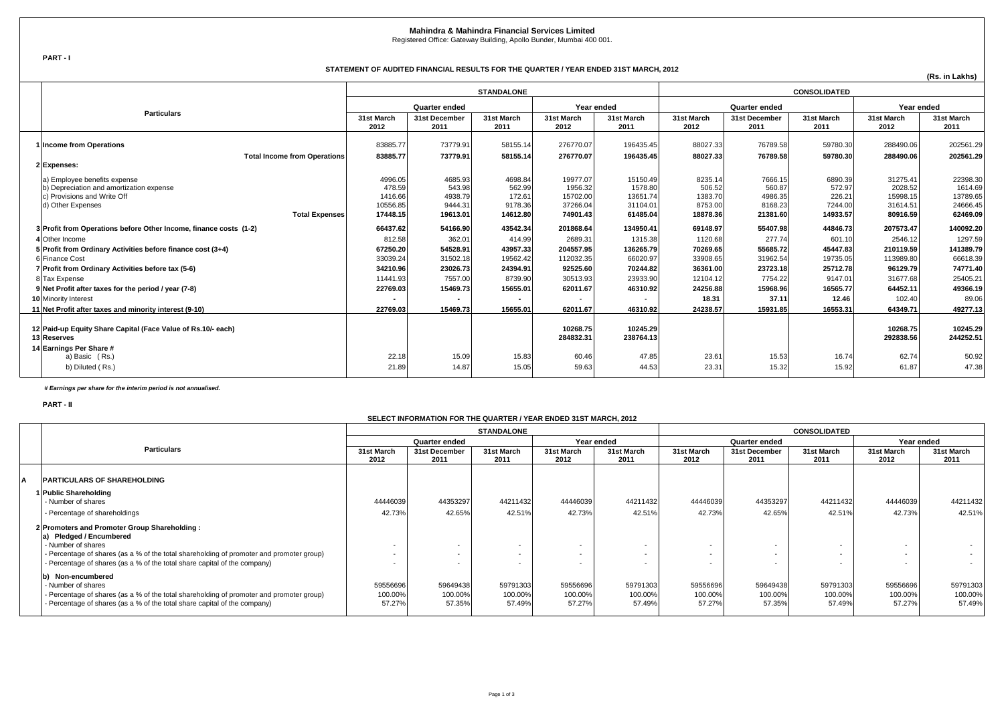**PART - I**

**(Rs. in Lakhs)**

|                                                                                                                                                       | <b>STANDALONE</b>                                    |                                                     |                                                    |                                                         |                                                         | <b>CONSOLIDATED</b>                                 |                                                     |                                                    | Year ended                                              |                                                         |
|-------------------------------------------------------------------------------------------------------------------------------------------------------|------------------------------------------------------|-----------------------------------------------------|----------------------------------------------------|---------------------------------------------------------|---------------------------------------------------------|-----------------------------------------------------|-----------------------------------------------------|----------------------------------------------------|---------------------------------------------------------|---------------------------------------------------------|
|                                                                                                                                                       | <b>Quarter ended</b>                                 |                                                     | Year ended                                         |                                                         |                                                         | <b>Quarter ended</b>                                |                                                     |                                                    |                                                         |                                                         |
| <b>Particulars</b>                                                                                                                                    | 31st March<br>2012                                   | 31st December<br>2011                               | 31st March<br>2011                                 | 31st March<br>2012                                      | 31st March<br>2011                                      | 31st March<br>2012                                  | 31st December<br>2011                               | 31st March<br>2011                                 | 31st March<br>2012                                      | 31st March<br>2011                                      |
| 1 Income from Operations                                                                                                                              | 83885.77                                             | 73779.91                                            | 58155.14                                           | 276770.07                                               | 196435.45                                               | 88027.33                                            | 76789.58                                            | 59780.30                                           | 288490.06                                               | 202561.29                                               |
| <b>Total Income from Operations</b><br>2 Expenses:                                                                                                    | 83885.77                                             | 73779.91                                            | 58155.14                                           | 276770.07                                               | 196435.45                                               | 88027.33                                            | 76789.58                                            | 59780.30                                           | 288490.06                                               | 202561.29                                               |
| a) Employee benefits expense<br>b) Depreciation and amortization expense<br>c) Provisions and Write Off<br>d) Other Expenses<br><b>Total Expenses</b> | 4996.05<br>478.59<br>1416.66<br>10556.85<br>17448.15 | 4685.93<br>543.98<br>4938.79<br>9444.31<br>19613.01 | 4698.84<br>562.99<br>172.61<br>9178.36<br>14612.80 | 19977.07<br>1956.32<br>15702.00<br>37266.04<br>74901.43 | 15150.49<br>1578.80<br>13651.74<br>31104.01<br>61485.04 | 8235.14<br>506.52<br>1383.70<br>8753.00<br>18878.36 | 7666.15<br>560.87<br>4986.35<br>8168.23<br>21381.60 | 6890.39<br>572.97<br>226.21<br>7244.00<br>14933.57 | 31275.41<br>2028.52<br>15998.15<br>31614.51<br>80916.59 | 22398.30<br>1614.69<br>13789.65<br>24666.45<br>62469.09 |
| 3 Profit from Operations before Other Income, finance costs (1-2)                                                                                     | 66437.62                                             | 54166.90                                            | 43542.34                                           | 201868.64                                               | 134950.41                                               | 69148.97                                            | 55407.98                                            | 44846.73                                           | 207573.47                                               | 140092.20                                               |
| 4 Other Income                                                                                                                                        | 812.58                                               | 362.01                                              | 414.99                                             | 2689.31                                                 | 1315.38                                                 | 1120.68                                             | 277.74                                              | 601.10                                             | 2546.12                                                 | 1297.59                                                 |
| 5 Profit from Ordinary Activities before finance cost (3+4)                                                                                           | 67250.20                                             | 54528.91                                            | 43957.33                                           | 204557.95                                               | 136265.79                                               | 70269.65                                            | 55685.72                                            | 45447.83                                           | 210119.59                                               | 141389.79                                               |
| 6 Finance Cost                                                                                                                                        | 33039.24                                             | 31502.18                                            | 19562.42                                           | 112032.35                                               | 66020.97                                                | 33908.65                                            | 31962.54                                            | 19735.05                                           | 113989.80                                               | 66618.39                                                |
| 7 Profit from Ordinary Activities before tax (5-6)                                                                                                    | 34210.96                                             | 23026.73                                            | 24394.91                                           | 92525.60                                                | 70244.82                                                | 36361.00                                            | 23723.18                                            | 25712.78                                           | 96129.79                                                | 74771.40                                                |
| 8 Tax Expense                                                                                                                                         | 11441.93                                             | 7557.00                                             | 8739.90                                            | 30513.93                                                | 23933.90                                                | 12104.12                                            | 7754.22                                             | 9147.01                                            | 31677.68                                                | 25405.21                                                |
| 9 Net Profit after taxes for the period / year (7-8)                                                                                                  | 22769.03                                             | 15469.73                                            | 15655.01                                           | 62011.67                                                | 46310.92                                                | 24256.88                                            | 15968.96                                            | 16565.77                                           | 64452.11                                                | 49366.19                                                |
| <b>10 Minority Interest</b>                                                                                                                           |                                                      |                                                     |                                                    |                                                         |                                                         | 18.31                                               | 37.11                                               | 12.46                                              | 102.40                                                  | 89.06                                                   |
| 11 Net Profit after taxes and minority interest (9-10)                                                                                                | 22769.03                                             | 15469.73                                            | 15655.01                                           | 62011.67                                                | 46310.92                                                | 24238.57                                            | 15931.85                                            | 16553.31                                           | 64349.71                                                | 49277.13                                                |
| 12 Paid-up Equity Share Capital (Face Value of Rs.10/- each)<br>13 Reserves<br>14 Earnings Per Share #                                                |                                                      |                                                     |                                                    | 10268.75<br>284832.31                                   | 10245.29<br>238764.13                                   |                                                     |                                                     |                                                    | 10268.75<br>292838.56                                   | 10245.29<br>244252.51                                   |
| a) Basic (Rs.)                                                                                                                                        | 22.18                                                | 15.09                                               | 15.83                                              | 60.46                                                   | 47.85                                                   | 23.61                                               | 15.53                                               | 16.74                                              | 62.74                                                   | 50.92                                                   |
| b) Diluted (Rs.)                                                                                                                                      | 21.89                                                | 14.87                                               | 15.05                                              | 59.63                                                   | 44.53                                                   | 23.31                                               | 15.32                                               | 15.92                                              | 61.87                                                   | 47.38                                                   |

 *# Earnings per share for the interim period is not annualised.*

**PART - II**

|                                                                                          | <b>STANDALONE</b>    |                          |                    |                    | <b>CONSOLIDATED</b>  |                          |                       |                    |                    |                    |
|------------------------------------------------------------------------------------------|----------------------|--------------------------|--------------------|--------------------|----------------------|--------------------------|-----------------------|--------------------|--------------------|--------------------|
|                                                                                          | <b>Quarter ended</b> |                          | Year ended         |                    | <b>Quarter ended</b> |                          |                       | Year ended         |                    |                    |
| <b>Particulars</b>                                                                       | 31st March<br>2012   | 31st December<br>2011    | 31st March<br>2011 | 31st March<br>2012 | 31st March<br>2011   | 31st March<br>2012       | 31st December<br>2011 | 31st March<br>2011 | 31st March<br>2012 | 31st March<br>2011 |
| <b>PARTICULARS OF SHAREHOLDING</b>                                                       |                      |                          |                    |                    |                      |                          |                       |                    |                    |                    |
| 1 Public Shareholding                                                                    |                      |                          |                    |                    |                      |                          |                       |                    |                    |                    |
| - Number of shares                                                                       | 44446039             | 44353297                 | 44211432           | 44446039           | 44211432             | 44446039                 | 44353297              | 44211432           | 44446039           | 44211432           |
| - Percentage of shareholdings                                                            | 42.73%               | 42.65%                   | 42.51%             | 42.73%             | 42.51%               | 42.73%                   | 42.65%                | 42.51%             | 42.73%             | 42.51%             |
| 2 Promoters and Promoter Group Shareholding:<br>a) Pledged / Encumbered                  |                      |                          |                    |                    |                      |                          |                       |                    |                    |                    |
| - Number of shares                                                                       |                      |                          |                    |                    |                      | $\sim$                   |                       |                    |                    |                    |
| - Percentage of shares (as a % of the total shareholding of promoter and promoter group) |                      |                          |                    |                    |                      | $\overline{\phantom{0}}$ |                       |                    |                    |                    |
| - Percentage of shares (as a % of the total share capital of the company)                |                      | $\overline{\phantom{0}}$ |                    |                    |                      |                          |                       |                    |                    | $\sim$             |
| lb)<br><b>Non-encumbered</b>                                                             |                      |                          |                    |                    |                      |                          |                       |                    |                    |                    |
| - Number of shares                                                                       | 59556696             | 59649438                 | 59791303           | 59556696           | 59791303             | 59556696                 | 59649438              | 59791303           | 59556696           | 59791303           |
| - Percentage of shares (as a % of the total shareholding of promoter and promoter group) | 100.00%              | 100.00%                  | 100.00%            | 100.00%            | 100.00%              | 100.00%                  | 100.00%               | 100.00%            | 100.00%            | 100.00%            |
| - Percentage of shares (as a % of the total share capital of the company)                | 57.27%               | 57.35%                   | 57.49%             | 57.27%             | 57.49%               | 57.27%                   | 57.35%                | 57.49%             | 57.27%             | 57.49%             |

## **SELECT INFORMATION FOR THE QUARTER / YEAR ENDED 31ST MARCH, 2012**

**Mahindra & Mahindra Financial Services Limited**

Registered Office: Gateway Building, Apollo Bunder, Mumbai 400 001.

## **STATEMENT OF AUDITED FINANCIAL RESULTS FOR THE QUARTER / YEAR ENDED 31ST MARCH, 2012**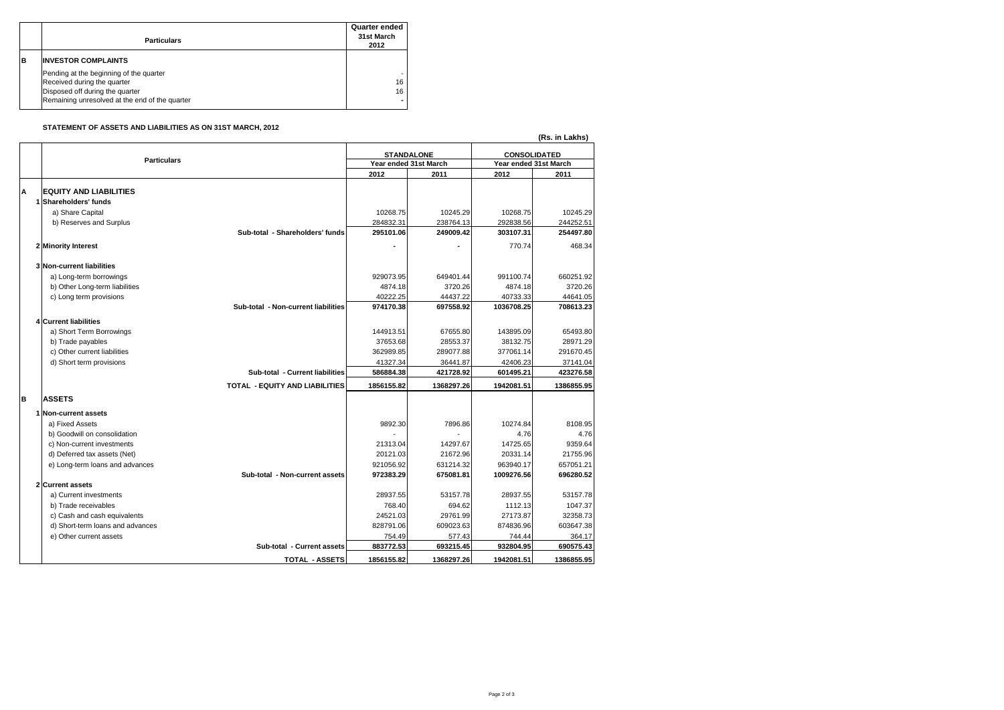|    | <b>Particulars</b>                                                                                                                                          | <b>Quarter ended</b><br>31st March<br>2012 |
|----|-------------------------------------------------------------------------------------------------------------------------------------------------------------|--------------------------------------------|
| ΙB | <b>INVESTOR COMPLAINTS</b>                                                                                                                                  |                                            |
|    | Pending at the beginning of the quarter<br>Received during the quarter<br>Disposed off during the quarter<br>Remaining unresolved at the end of the quarter | 16<br>16                                   |

## **STATEMENT OF ASSETS AND LIABILITIES AS ON 31ST MARCH, 2012**

|   |                                  |                                       |                       |                    |                       | (Rs. in Lakhs) |  |
|---|----------------------------------|---------------------------------------|-----------------------|--------------------|-----------------------|----------------|--|
|   |                                  |                                       | <b>STANDALONE</b>     |                    | <b>CONSOLIDATED</b>   |                |  |
|   | <b>Particulars</b>               |                                       | Year ended 31st March |                    | Year ended 31st March |                |  |
|   |                                  |                                       | 2012                  | 2011               | 2012                  | 2011           |  |
|   |                                  |                                       |                       |                    |                       |                |  |
| A | <b>EQUITY AND LIABILITIES</b>    |                                       |                       |                    |                       |                |  |
|   | 1 Shareholders' funds            |                                       |                       |                    |                       |                |  |
|   | a) Share Capital                 |                                       | 10268.75              | 10245.29           | 10268.75              | 10245.29       |  |
|   | b) Reserves and Surplus          |                                       | 284832.31             | 238764.13          | 292838.56             | 244252.51      |  |
|   |                                  | Sub-total - Shareholders' funds       | 295101.06             | 249009.42          | 303107.31             | 254497.80      |  |
|   | 2 Minority Interest              |                                       |                       |                    | 770.74                | 468.34         |  |
|   |                                  |                                       |                       |                    |                       |                |  |
|   | 3 Non-current liabilities        |                                       |                       |                    |                       |                |  |
|   | a) Long-term borrowings          |                                       | 929073.95             | 649401.44          | 991100.74             | 660251.92      |  |
|   | b) Other Long-term liabilities   |                                       | 4874.18               | 3720.26            | 4874.18               | 3720.26        |  |
|   | c) Long term provisions          |                                       | 40222.25              | 44437.22           | 40733.33              | 44641.05       |  |
|   |                                  | Sub-total - Non-current liabilities   | 974170.38             | 697558.92          | 1036708.25            | 708613.23      |  |
|   | <b>4 Current liabilities</b>     |                                       |                       |                    |                       |                |  |
|   | a) Short Term Borrowings         |                                       | 144913.51             | 67655.80           | 143895.09             | 65493.80       |  |
|   | b) Trade payables                |                                       | 37653.68              | 28553.37           | 38132.75              | 28971.29       |  |
|   | c) Other current liabilities     |                                       | 362989.85             | 289077.88          | 377061.14             | 291670.45      |  |
|   | d) Short term provisions         |                                       | 41327.34              | 36441.87           | 42406.23              | 37141.04       |  |
|   |                                  | Sub-total - Current liabilities       | 586884.38             | 421728.92          | 601495.21             | 423276.58      |  |
|   |                                  |                                       |                       |                    |                       |                |  |
|   |                                  | <b>TOTAL - EQUITY AND LIABILITIES</b> | 1856155.82            | 1368297.26         | 1942081.51            | 1386855.95     |  |
| B | <b>ASSETS</b>                    |                                       |                       |                    |                       |                |  |
|   | 1 Non-current assets             |                                       |                       |                    |                       |                |  |
|   | a) Fixed Assets                  |                                       | 9892.30               | 7896.86            | 10274.84              | 8108.95        |  |
|   | b) Goodwill on consolidation     |                                       |                       |                    | 4.76                  | 4.76           |  |
|   | c) Non-current investments       |                                       | 21313.04              | 14297.67           | 14725.65              | 9359.64        |  |
|   | d) Deferred tax assets (Net)     |                                       | 20121.03              | 21672.96           | 20331.14              | 21755.96       |  |
|   |                                  |                                       | 921056.92             | 631214.32          | 963940.17             | 657051.21      |  |
|   | e) Long-term loans and advances  | Sub-total - Non-current assets        | 972383.29             | 675081.81          | 1009276.56            | 696280.52      |  |
|   | 2 Current assets                 |                                       |                       |                    |                       |                |  |
|   |                                  |                                       |                       |                    | 28937.55              |                |  |
|   | a) Current investments           |                                       | 28937.55<br>768.40    | 53157.78<br>694.62 | 1112.13               | 53157.78       |  |
|   | b) Trade receivables             |                                       |                       |                    |                       | 1047.37        |  |
|   | c) Cash and cash equivalents     |                                       | 24521.03              | 29761.99           | 27173.87              | 32358.73       |  |
|   | d) Short-term loans and advances |                                       | 828791.06             | 609023.63          | 874836.96             | 603647.38      |  |
|   | e) Other current assets          |                                       | 754.49                | 577.43             | 744.44                | 364.17         |  |
|   |                                  | <b>Sub-total - Current assets</b>     | 883772.53             | 693215.45          | 932804.95             | 690575.43      |  |
|   |                                  | <b>TOTAL - ASSETS</b>                 | 1856155.82            | 1368297.26         | 1942081.51            | 1386855.95     |  |